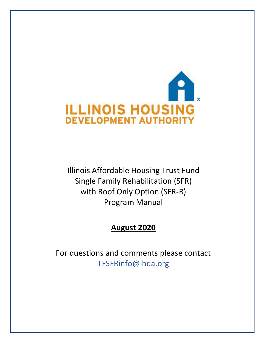

Illinois Affordable Housing Trust Fund Single Family Rehabilitation (SFR) with Roof Only Option (SFR-R) Program Manual

# **August 2020**

For questions and comments please contact TFSFRinfo@ihda.org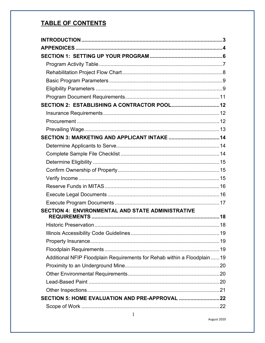# **TABLE OF CONTENTS**

| SECTION 2: ESTABLISHING A CONTRACTOR POOL 12                              |  |
|---------------------------------------------------------------------------|--|
|                                                                           |  |
|                                                                           |  |
|                                                                           |  |
|                                                                           |  |
|                                                                           |  |
|                                                                           |  |
|                                                                           |  |
|                                                                           |  |
|                                                                           |  |
|                                                                           |  |
|                                                                           |  |
|                                                                           |  |
| <b>SECTION 4: ENVIRONMENTAL AND STATE ADMINISTRATIVE</b>                  |  |
|                                                                           |  |
|                                                                           |  |
|                                                                           |  |
|                                                                           |  |
|                                                                           |  |
| Additional NFIP Floodplain Requirements for Rehab within a Floodplain  19 |  |
|                                                                           |  |
|                                                                           |  |
|                                                                           |  |
|                                                                           |  |
|                                                                           |  |
|                                                                           |  |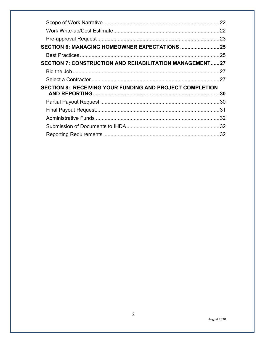|                                                                 | 22  |
|-----------------------------------------------------------------|-----|
|                                                                 |     |
|                                                                 |     |
|                                                                 |     |
|                                                                 |     |
| SECTION 7: CONSTRUCTION AND REHABILITATION MANAGEMENT27         |     |
|                                                                 |     |
|                                                                 |     |
| <b>SECTION 8: RECEIVING YOUR FUNDING AND PROJECT COMPLETION</b> |     |
|                                                                 |     |
|                                                                 |     |
|                                                                 |     |
|                                                                 |     |
|                                                                 |     |
|                                                                 | .32 |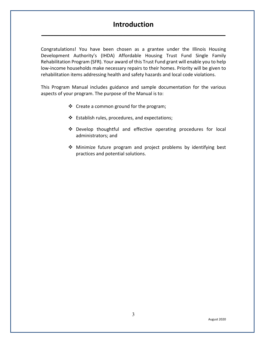## **Introduction**

<span id="page-3-0"></span>**\_\_\_\_\_\_\_\_\_\_\_\_\_\_\_\_\_\_\_\_\_\_\_\_\_\_\_\_\_\_\_\_\_\_\_\_\_\_\_\_\_\_\_\_\_\_\_\_\_\_\_\_\_\_\_\_\_\_\_\_\_**

Congratulations! You have been chosen as a grantee under the Illinois Housing Development Authority's (IHDA) Affordable Housing Trust Fund Single Family Rehabilitation Program (SFR). Your award of this Trust Fund grant will enable you to help low-income households make necessary repairs to their homes. Priority will be given to rehabilitation items addressing health and safety hazards and local code violations.

This Program Manual includes guidance and sample documentation for the various aspects of your program. The purpose of the Manual is to:

- ❖ Create a common ground for the program;
- Establish rules, procedures, and expectations;
- Develop thoughtful and effective operating procedures for local administrators; and
- Minimize future program and project problems by identifying best practices and potential solutions.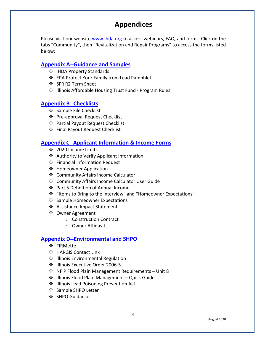# **Appendices**

<span id="page-4-0"></span>Please visit our website [www.ihda.org](https://www.ihda.org/my-community/revitalization-programs/) to access webinars, FAQ, and forms. Click on the tabs "Community", then "Revitalization and Repair Programs" to access the forms listed below:

## **[Appendix A--Guidance and Samples](https://df7qosnywqs6g.cloudfront.net/wp-content/uploads/2020/08/Appendix-A-Guidance-and-Samples.zip)**

- ❖ IHDA Property Standards
- EPA Protect Your Family from Lead Pamphlet
- ❖ SFR R2 Term Sheet
- ❖ Illinois Affordable Housing Trust Fund Program Rules

## **[Appendix B--Checklists](https://df7qosnywqs6g.cloudfront.net/wp-content/uploads/2021/06/Appendix-B-Checklists-1.zip)**

- ❖ Sample File Checklist
- ❖ Pre-approval Request Checklist
- Partial Payout Request Checklist
- Final Payout Request Checklist

## **[Appendix C--Applicant Information & Income Forms](https://df7qosnywqs6g.cloudfront.net/wp-content/uploads/2021/08/Appendix-C-Application-Info-Forms.zip)**

- ❖ 2020 Income Limits
- Authority to Verify Applicant Information
- Financial Information Request
- ❖ Homeowner Application
- ❖ Community Affairs Income Calculator
- Community Affairs Income Calculator User Guide
- ❖ Part 5 Definition of Annual Income
- "Items to Bring to the Interview" and "Homeowner Expectations"
- ❖ Sample Homeowner Expectations
- Assistance Impact Statement
- Owner Agreement
	- o Construction Contract
	- o Owner Affidavit

## **[Appendix D--Environmental and SHPO](https://df7qosnywqs6g.cloudfront.net/wp-content/uploads/2020/08/Appendix-D-Environmental-and-SHPO.zip)**

- ❖ FIRMette
- HARGIS Contact Link
- ❖ Illinois Environmental Regulation
- ❖ Illinois Executive Order 2006-5
- NFIP Flood Plain Management Requirements Unit 8
- $\cdot$  Illinois Flood Plain Management Quick Guide
- ❖ Illinois Lead Poisoning Prevention Act
- ❖ Sample SHPO Letter
- ❖ SHPO Guidance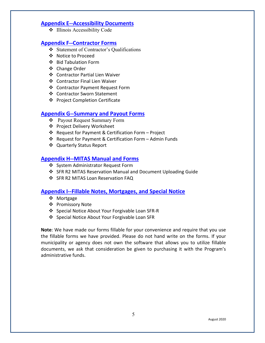### **[Appendix E--Accessibility Documents](https://df7qosnywqs6g.cloudfront.net/wp-content/uploads/2020/08/Appendix-E-Accessibility-Documents.zip)**

 $\bullet$  Illinois Accessibility Code

## **[Appendix F--Contractor Forms](https://df7qosnywqs6g.cloudfront.net/wp-content/uploads/2022/02/Appendix-F-Contractor-Forms.-SFR-Round-2.zip)**

- Statement of Contractor's Qualifications
- ❖ Notice to Proceed
- Bid Tabulation Form
- ❖ Change Order
- Contractor Partial Lien Waiver
- Contractor Final Lien Waiver
- Contractor Payment Request Form
- ❖ Contractor Sworn Statement
- ❖ Project Completion Certificate

## **[Appendix G--Summary and Payout Forms](https://df7qosnywqs6g.cloudfront.net/wp-content/uploads/2021/04/Appendix-G-Summary-and-Payout-Forms-1.zip)**

- Payout Request Summary Form
- Project Delivery Worksheet
- Request for Payment & Certification Form Project
- Request for Payment & Certification Form Admin Funds
- Quarterly Status Report

## **[Appendix H--MITAS Manual and Forms](https://df7qosnywqs6g.cloudfront.net/wp-content/uploads/2021/03/Appendix-H-MITAS-Manual-and-Forms.zip)**

- ❖ System Administrator Request Form
- ❖ SFR R2 MITAS Reservation Manual and Document Uploading Guide
- ❖ SFR R2 MITAS Loan Reservation FAQ

## **[Appendix I--Fillable Notes, Mortgages, and Special Notice](https://df7qosnywqs6g.cloudfront.net/wp-content/uploads/2020/08/Appendix-I-Fillable-Note-Mortgage-and-Special-Notice.zip)**

- ❖ Mortgage
- ❖ Promissory Note
- ❖ Special Notice About Your Forgivable Loan SFR-R
- Special Notice About Your Forgivable Loan SFR

**Note**: We have made our forms fillable for your convenience and require that you use the fillable forms we have provided. Please do not hand write on the forms. If your municipality or agency does not own the software that allows you to utilize fillable documents, we ask that consideration be given to purchasing it with the Program's administrative funds.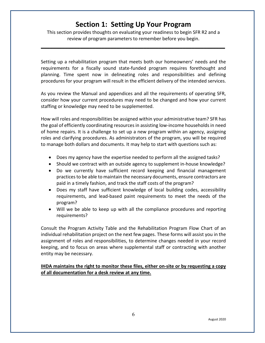# **Section 1: Setting Up Your Program**

<span id="page-6-0"></span>This section provides thoughts on evaluating your readiness to begin SFR R2 and a review of program parameters to remember before you begin.

**\_\_\_\_\_\_\_\_\_\_\_\_\_\_\_\_\_\_\_\_\_\_\_\_\_\_\_\_\_\_\_\_\_\_\_\_\_\_\_\_\_\_\_\_\_\_\_\_\_\_\_\_\_\_\_\_\_\_\_\_\_**

Setting up a rehabilitation program that meets both our homeowners' needs and the requirements for a fiscally sound state-funded program requires forethought and planning. Time spent now in delineating roles and responsibilities and defining procedures for your program will result in the efficient delivery of the intended services.

As you review the Manual and appendices and all the requirements of operating SFR, consider how your current procedures may need to be changed and how your current staffing or knowledge may need to be supplemented.

How will roles and responsibilities be assigned within your administrative team? SFR has the goal of efficiently coordinating resources in assisting low-income households in need of home repairs. It is a challenge to set up a new program within an agency, assigning roles and clarifying procedures. As administrators of the program, you will be required to manage both dollars and documents. It may help to start with questions such as:

- Does my agency have the expertise needed to perform all the assigned tasks?
- Should we contract with an outside agency to supplement in-house knowledge?
- Do we currently have sufficient record keeping and financial management practices to be able to maintain the necessary documents, ensure contractors are paid in a timely fashion, and track the staff costs of the program?
- Does my staff have sufficient knowledge of local building codes, accessibility requirements, and lead-based paint requirements to meet the needs of the program?
- Will we be able to keep up with all the compliance procedures and reporting requirements?

Consult the Program Activity Table and the Rehabilitation Program Flow Chart of an individual rehabilitation project on the next few pages. These forms will assist you in the assignment of roles and responsibilities, to determine changes needed in your record keeping, and to focus on areas where supplemental staff or contracting with another entity may be necessary.

#### **IHDA maintains the right to monitor these files, either on-site or by requesting a copy of all documentation for a desk review at any time.**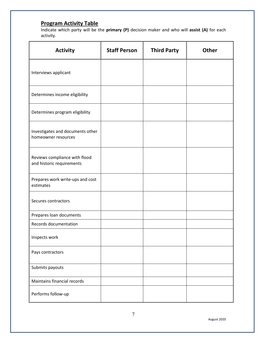## <span id="page-7-0"></span>**Program Activity Table**

Indicate which party will be the **primary (P)** decision maker and who will **assist (A)** for each activity.

| <b>Activity</b>                                            | <b>Staff Person</b> | <b>Third Party</b> | <b>Other</b> |
|------------------------------------------------------------|---------------------|--------------------|--------------|
| Interviews applicant                                       |                     |                    |              |
| Determines income eligibility                              |                     |                    |              |
| Determines program eligibility                             |                     |                    |              |
| Investigates and documents other<br>homeowner resources    |                     |                    |              |
| Reviews compliance with flood<br>and historic requirements |                     |                    |              |
| Prepares work write-ups and cost<br>estimates              |                     |                    |              |
| Secures contractors                                        |                     |                    |              |
| Prepares loan documents                                    |                     |                    |              |
| Records documentation                                      |                     |                    |              |
| Inspects work                                              |                     |                    |              |
| Pays contractors                                           |                     |                    |              |
| Submits payouts                                            |                     |                    |              |
| Maintains financial records                                |                     |                    |              |
| Performs follow-up                                         |                     |                    |              |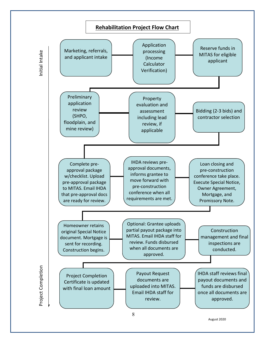<span id="page-8-0"></span>

August 2020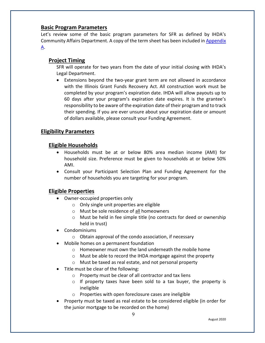#### <span id="page-9-0"></span>**Basic Program Parameters**

Let's review some of the basic program parameters for SFR as defined by IHDA's Community Affairs Department. A copy of the term sheet has been included in [Appendix](https://df7qosnywqs6g.cloudfront.net/wp-content/uploads/2020/08/Appendix-A-Guidance-and-Samples.zip)  [A.](https://df7qosnywqs6g.cloudfront.net/wp-content/uploads/2020/08/Appendix-A-Guidance-and-Samples.zip)

## **Project Timing**

SFR will operate for two years from the date of your initial closing with IHDA's Legal Department.

• Extensions beyond the two-year grant term are not allowed in accordance with the Illinois Grant Funds Recovery Act. All construction work must be completed by your program's expiration date. IHDA will allow payouts up to 60 days after your program's expiration date expires. It is the grantee's responsibility to be aware of the expiration date of their program and to track their spending. If you are ever unsure about your expiration date or amount of dollars available, please consult your Funding Agreement.

## <span id="page-9-1"></span>**Eligibility Parameters**

## **Eligible Households**

- Households must be at or below 80% area median income (AMI) for household size. Preference must be given to households at or below 50% AMI.
- Consult your Participant Selection Plan and Funding Agreement for the number of households you are targeting for your program.

## **Eligible Properties**

- Owner-occupied properties only
	- o Only single unit properties are eligible
	- o Must be sole residence of all homeowners
	- $\circ$  Must be held in fee simple title (no contracts for deed or ownership held in trust)
- Condominiums
	- o Obtain approval of the condo association, if necessary
- Mobile homes on a permanent foundation
	- o Homeowner must own the land underneath the mobile home
	- o Must be able to record the IHDA mortgage against the property
	- o Must be taxed as real estate, and not personal property
- Title must be clear of the following:
	- o Property must be clear of all contractor and tax liens
	- $\circ$  If property taxes have been sold to a tax buyer, the property is ineligible
	- o Properties with open foreclosure cases are ineligible
- Property must be taxed as real estate to be considered eligible (in order for the junior mortgage to be recorded on the home)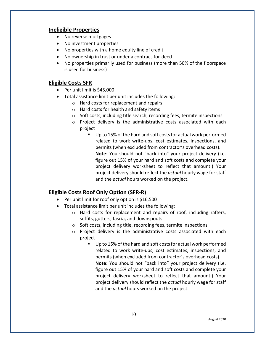## **Ineligible Properties**

- No reverse mortgages
- No investment properties
- No properties with a home equity line of credit
- No ownership in trust or under a contract-for-deed
- No properties primarily used for business (more than 50% of the floorspace is used for business)

## **Eligible Costs SFR**

- Per unit limit is \$45,000
- Total assistance limit per unit includes the following:
	- o Hard costs for replacement and repairs
	- o Hard costs for health and safety items
	- $\circ$  Soft costs, including title search, recording fees, termite inspections
	- o Project delivery is the administrative costs associated with each project
		- Up to 15% of the hard and soft costs for actual work performed related to work write-ups, cost estimates, inspections, and permits (when excluded from contractor's overhead costs). **Note**: You should not "back into" your project delivery (i.e. figure out 15% of your hard and soft costs and complete your project delivery worksheet to reflect that amount.) Your project delivery should reflect the *actual* hourly wage for staff and the *actual* hours worked on the project.

## **Eligible Costs Roof Only Option (SFR-R)**

- Per unit limit for roof only option is \$16,500
- Total assistance limit per unit includes the following:
	- o Hard costs for replacement and repairs of roof, including rafters, soffits, gutters, fascia, and downspouts
	- o Soft costs, including title, recording fees, termite inspections
	- o Project delivery is the administrative costs associated with each project
		- Up to 15% of the hard and soft costs for actual work performed related to work write-ups, cost estimates, inspections, and permits (when excluded from contractor's overhead costs). **Note**: You should not "back into" your project delivery (i.e. figure out 15% of your hard and soft costs and complete your project delivery worksheet to reflect that amount.) Your project delivery should reflect the *actual* hourly wage for staff and the *actual* hours worked on the project.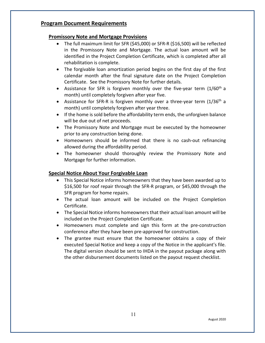## <span id="page-11-0"></span>**Program Document Requirements**

### **Promissory Note and Mortgage Provisions**

- The full maximum limit for SFR (\$45,000) or SFR-R (\$16,500) will be reflected in the Promissory Note and Mortgage. The actual loan amount will be identified in the Project Completion Certificate, which is completed after all rehabilitation is complete.
- The forgivable loan amortization period begins on the first day of the first calendar month after the final signature date on the Project Completion Certificate. See the Promissory Note for further details.
- Assistance for SFR is forgiven monthly over the five-year term  $(1/60<sup>th</sup> a)$ month) until completely forgiven after year five.
- Assistance for SFR-R is forgiven monthly over a three-year term  $(1/36<sup>th</sup> a)$ month) until completely forgiven after year three.
- If the home is sold before the affordability term ends, the unforgiven balance will be due out of net proceeds.
- The Promissory Note and Mortgage must be executed by the homeowner prior to any construction being done.
- Homeowners should be informed that there is no cash-out refinancing allowed during the affordability period.
- The homeowner should thoroughly review the Promissory Note and Mortgage for further information.

### **Special Notice About Your Forgivable Loan**

- This Special Notice informs homeowners that they have been awarded up to \$16,500 for roof repair through the SFR-R program, or \$45,000 through the SFR program for home repairs.
- The actual loan amount will be included on the Project Completion Certificate.
- The Special Notice informs homeowners that their actual loan amount will be included on the Project Completion Certificate.
- Homeowners must complete and sign this form at the pre-construction conference after they have been pre-approved for construction.
- The grantee must ensure that the homeowner obtains a copy of their executed Special Notice and keep a copy of the Notice in the applicant's file. The digital version should be sent to IHDA in the payout package along with the other disbursement documents listed on the payout request checklist.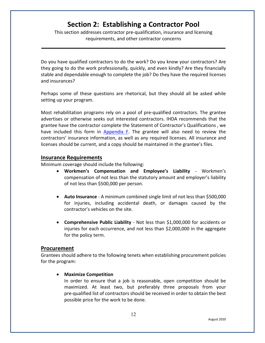# **Section 2: Establishing a Contractor Pool**

<span id="page-12-0"></span>This section addresses contractor pre-qualification, insurance and licensing requirements, and other contractor concerns

**\_\_\_\_\_\_\_\_\_\_\_\_\_\_\_\_\_\_\_\_\_\_\_\_\_\_\_\_\_\_\_\_\_\_\_\_\_\_\_\_\_\_\_\_\_\_\_\_\_\_\_\_\_\_\_\_\_\_\_\_\_**

Do you have qualified contractors to do the work? Do you know your contractors? Are they going to do the work professionally, quickly, and even kindly? Are they financially stable and dependable enough to complete the job? Do they have the required licenses and insurances?

Perhaps some of these questions are rhetorical, but they should all be asked while setting up your program.

Most rehabilitation programs rely on a pool of pre-qualified contractors. The grantee advertises or otherwise seeks out interested contractors. IHDA recommends that the grantee have the contractor complete the Statement of Contractor's Qualifications , we have included this form in [Appendix F.](https://df7qosnywqs6g.cloudfront.net/wp-content/uploads/2022/02/Appendix-F-Contractor-Forms.-SFR-Round-2.zip) The grantee will also need to review the contractors' insurance information, as well as any required licenses. All insurance and licenses should be current, and a copy should be maintained in the grantee's files.

#### <span id="page-12-1"></span>**Insurance Requirements**

Minimum coverage should include the following:

- **Workmen's Compensation and Employee's Liability** Workmen's compensation of not less than the statutory amount and employer's liability of not less than \$500,000 per person.
- **Auto Insurance** A minimum combined single limit of not less than \$500,000 for injuries, including accidental death, or damages caused by the contractor's vehicles on the site.
- **Comprehensive Public Liability** Not less than \$1,000,000 for accidents or injuries for each occurrence, and not less than \$2,000,000 in the aggregate for the policy term.

#### <span id="page-12-2"></span>**Procurement**

Grantees should adhere to the following tenets when establishing procurement policies for the program:

#### • **Maximize Competition**

In order to ensure that a job is reasonable, open competition should be maximized. At least two, but preferably three proposals from your pre-qualified list of contractors should be received in order to obtain the best possible price for the work to be done.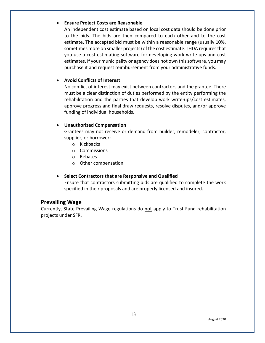#### • **Ensure Project Costs are Reasonable**

An independent cost estimate based on local cost data should be done prior to the bids. The bids are then compared to each other and to the cost estimate. The accepted bid must be within a reasonable range (usually 10%, sometimes more on smaller projects) of the cost estimate. IHDA requires that you use a cost estimating software for developing work write-ups and cost estimates. If your municipality or agency does not own this software, you may purchase it and request reimbursement from your administrative funds.

#### • **Avoid Conflicts of Interest**

No conflict of interest may exist between contractors and the grantee. There must be a clear distinction of duties performed by the entity performing the rehabilitation and the parties that develop work write-ups/cost estimates, approve progress and final draw requests, resolve disputes, and/or approve funding of individual households.

#### • **Unauthorized Compensation**

Grantees may not receive or demand from builder, remodeler, contractor, supplier, or borrower:

- o Kickbacks
- o Commissions
- o Rebates
- o Other compensation

#### • **Select Contractors that are Responsive and Qualified**

Ensure that contractors submitting bids are qualified to complete the work specified in their proposals and are properly licensed and insured.

#### <span id="page-13-0"></span>**Prevailing Wage**

Currently, State Prevailing Wage regulations do not apply to Trust Fund rehabilitation projects under SFR.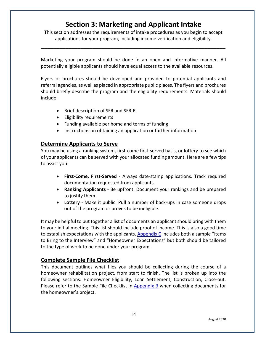# **Section 3: Marketing and Applicant Intake**

<span id="page-14-0"></span>This section addresses the requirements of intake procedures as you begin to accept applications for your program, including income verification and eligibility.

**\_\_\_\_\_\_\_\_\_\_\_\_\_\_\_\_\_\_\_\_\_\_\_\_\_\_\_\_\_\_\_\_\_\_\_\_\_\_\_\_\_\_\_\_\_\_\_\_\_\_\_\_\_\_\_\_\_\_\_\_\_**

Marketing your program should be done in an open and informative manner. All potentially eligible applicants should have equal access to the available resources.

Flyers or brochures should be developed and provided to potential applicants and referral agencies, as well as placed in appropriate public places. The flyers and brochures should briefly describe the program and the eligibility requirements. Materials should include:

- Brief description of SFR and SFR-R
- Eligibility requirements
- Funding available per home and terms of funding
- Instructions on obtaining an application or further information

#### <span id="page-14-1"></span>**Determine Applicants to Serve**

You may be using a ranking system, first-come first-served basis, or lottery to see which of your applicants can be served with your allocated funding amount. Here are a few tips to assist you:

- **First-Come, First-Served** Always date-stamp applications. Track required documentation requested from applicants.
- **Ranking Applicants** Be upfront. Document your rankings and be prepared to justify them.
- **Lottery** Make it public. Pull a number of back-ups in case someone drops out of the program or proves to be ineligible.

It may be helpful to put together a list of documents an applicant should bring with them to your initial meeting. This list should include proof of income. This is also a good time to establish expectations with the applicants. [Appendix C](https://df7qosnywqs6g.cloudfront.net/wp-content/uploads/2021/08/Appendix-C-Application-Info-Forms.zip) includes both a sample "Items to Bring to the Interview" and "Homeowner Expectations" but both should be tailored to the type of work to be done under your program.

#### <span id="page-14-2"></span>**Complete Sample File Checklist**

This document outlines what files you should be collecting during the course of a homeowner rehabilitation project, from start to finish. The list is broken up into the following sections: Homeowner Eligibility, Loan Settlement, Construction, Close-out. Please refer to the Sample File Checklist in [Appendix B](https://df7qosnywqs6g.cloudfront.net/wp-content/uploads/2021/06/Appendix-B-Checklists-1.zip) when collecting documents for the homeowner's project.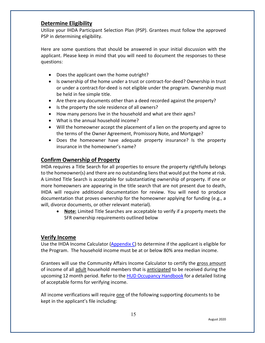## <span id="page-15-0"></span>**Determine Eligibility**

Utilize your IHDA Participant Selection Plan (PSP). Grantees must follow the approved PSP in determining eligibility.

Here are some questions that should be answered in your initial discussion with the applicant. Please keep in mind that you will need to document the responses to these questions:

- Does the applicant own the home outright?
- Is ownership of the home under a trust or contract-for-deed? Ownership in trust or under a contract-for-deed is not eligible under the program. Ownership must be held in fee simple title.
- Are there any documents other than a deed recorded against the property?
- Is the property the sole residence of all owners?
- How many persons live in the household and what are their ages?
- What is the annual household income?
- Will the homeowner accept the placement of a lien on the property and agree to the terms of the Owner Agreement, Promissory Note, and Mortgage?
- Does the homeowner have adequate property insurance? Is the property insurance in the homeowner's name?

## <span id="page-15-1"></span>**Confirm Ownership of Property**

IHDA requires a Title Search for all properties to ensure the property rightfully belongs to the homeowner(s) and there are no outstanding liens that would put the home at risk. A Limited Title Search is acceptable for substantiating ownership of property. If one or more homeowners are appearing in the title search that are not present due to death, IHDA will require additional documentation for review. You will need to produce documentation that proves ownership for the homeowner applying for funding (e.g., a will, divorce documents, or other relevant material).

• **Note:** Limited Title Searches are acceptable to verify if a property meets the SFR ownership requirements outlined below

## <span id="page-15-2"></span>**Verify Income**

Use the IHDA Income Calculator [\(Appendix C\)](https://df7qosnywqs6g.cloudfront.net/wp-content/uploads/2021/08/Appendix-C-Application-Info-Forms.zip) to determine if the applicant is eligible for the Program. The household income must be at or below 80% area median income.

Grantees will use the Community Affairs Income Calculator to certify the gross amount of income of all adult household members that is anticipated to be received during the upcoming 12 month period. Refer to th[e HUD Occupancy Handbook](https://www.ihda.org/wp-content/uploads/2019/10/Appendix-3_HUD-Handbook_Acceptable-Forms-of-Verification-1.pdf) for a detailed listing of acceptable forms for verifying income.

All income verifications will require one of the following supporting documents to be kept in the applicant's file including: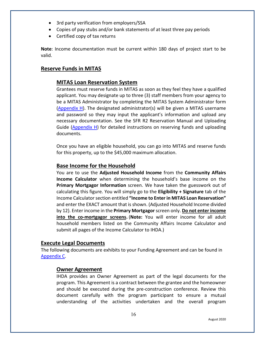- 3rd party verification from employers/SSA
- Copies of pay stubs and/or bank statements of at least three pay periods
- Certified copy of tax returns

**Note**: Income documentation must be current within 180 days of project start to be valid.

## <span id="page-16-0"></span>**Reserve Funds in MITAS**

## **MITAS Loan Reservation System**

Grantees must reserve funds in MITAS as soon as they feel they have a qualified applicant. You may designate up to three (3) staff members from your agency to be a MITAS Administrator by completing the MITAS System Administrator form [\(Appendix H\)](https://df7qosnywqs6g.cloudfront.net/wp-content/uploads/2021/03/Appendix-H-MITAS-Manual-and-Forms.zip). The designated administrator(s) will be given a MITAS username and password so they may input the applicant's information and upload any necessary documentation. See the SFR R2 Reservation Manual and Uploading Guide [\(Appendix H\)](https://df7qosnywqs6g.cloudfront.net/wp-content/uploads/2021/03/Appendix-H-MITAS-Manual-and-Forms.zip) for detailed instructions on reserving funds and uploading documents.

Once you have an eligible household, you can go into MITAS and reserve funds for this property, up to the \$45,000 maximum allocation.

## **Base Income for the Household**

You are to use the **Adjusted Household Income** from the **Community Affairs Income Calculator** when determining the household's base income on the **Primary Mortgagor Information** screen. We have taken the guesswork out of calculating this figure. You will simply go to the **Eligibility + Signature** tab of the Income Calculator section entitled **"Income to Enter in MITAS Loan Reservation"** and enter the EXACT amount that is shown. (Adjusted Household Income divided by 12). Enter income in the **Primary Mortgagor** screen only. **Do not enter income into the co-mortgagor screens.** (**Note:** You will enter income for all adult household members listed on the Community Affairs Income Calculator and submit all pages of the Income Calculator to IHDA.)

#### <span id="page-16-1"></span>**Execute Legal Documents**

The following documents are exhibits to your Funding Agreement and can be found in [Appendix C.](https://df7qosnywqs6g.cloudfront.net/wp-content/uploads/2021/08/Appendix-C-Application-Info-Forms.zip)

#### **Owner Agreement**

IHDA provides an Owner Agreement as part of the legal documents for the program. This Agreement is a contract between the grantee and the homeowner and should be executed during the pre-construction conference. Review this document carefully with the program participant to ensure a mutual understanding of the activities undertaken and the overall program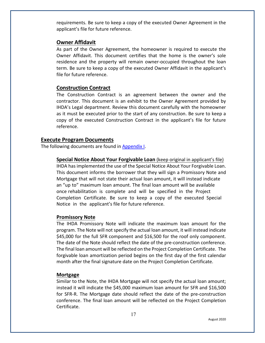requirements. Be sure to keep a copy of the executed Owner Agreement in the applicant's file for future reference.

#### **Owner Affidavit**

As part of the Owner Agreement, the homeowner is required to execute the Owner Affidavit. This document certifies that the home is the owner's sole residence and the property will remain owner-occupied throughout the loan term. Be sure to keep a copy of the executed Owner Affidavit in the applicant's file for future reference.

#### **Construction Contract**

The Construction Contract is an agreement between the owner and the contractor. This document is an exhibit to the Owner Agreement provided by IHDA's Legal department. Review this document carefully with the homeowner as it must be executed prior to the start of any construction. Be sure to keep a copy of the executed Construction Contract in the applicant's file for future reference.

#### <span id="page-17-0"></span>**Execute Program Documents**

The following documents are found in [Appendix I.](https://df7qosnywqs6g.cloudfront.net/wp-content/uploads/2020/08/Appendix-I-Fillable-Note-Mortgage-and-Special-Notice.zip)

**Special Notice About Your Forgivable Loan** (keep original in applicant's file) IHDA has implemented the use of the Special Notice About Your Forgivable Loan. This document informs the borrower that they will sign a Promissory Note and Mortgage that will not state their actual loan amount, it will instead indicate an "up to" maximum loan amount. The final loan amount will be available once rehabilitation is complete and will be specified in the Project Completion Certificate. Be sure to keep a copy of the executed Special Notice in the applicant's file for future reference.

#### **Promissory Note**

The IHDA Promissory Note will indicate the maximum loan amount for the program. The Note will not specify the actual loan amount, it will instead indicate \$45,000 for the full SFR component and \$16,500 for the roof only component. The date of the Note should reflect the date of the pre-construction conference. The final loan amount will be reflected on the Project Completion Certificate. The forgivable loan amortization period begins on the first day of the first calendar month after the final signature date on the Project Completion Certificate.

#### **Mortgage**

Similar to the Note, the IHDA Mortgage will not specify the actual loan amount; instead it will indicate the \$45,000 maximum loan amount for SFR and \$16,500 for SFR-R. The Mortgage date should reflect the date of the pre-construction conference. The final loan amount will be reflected on the Project Completion Certificate.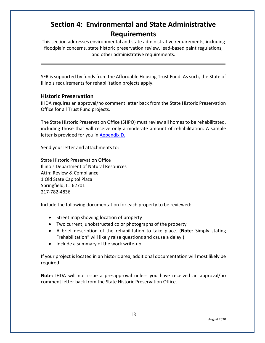# <span id="page-18-0"></span>**Section 4: Environmental and State Administrative Requirements**

This section addresses environmental and state administrative requirements, including floodplain concerns, state historic preservation review, lead-based paint regulations, and other administrative requirements.

**\_\_\_\_\_\_\_\_\_\_\_\_\_\_\_\_\_\_\_\_\_\_\_\_\_\_\_\_\_\_\_\_\_\_\_\_\_\_\_\_\_\_\_\_\_\_\_\_\_\_\_\_\_\_\_\_\_\_\_\_\_**

SFR is supported by funds from the Affordable Housing Trust Fund. As such, the State of Illinois requirements for rehabilitation projects apply.

## <span id="page-18-1"></span>**Historic Preservation**

IHDA requires an approval/no comment letter back from the State Historic Preservation Office for all Trust Fund projects.

The State Historic Preservation Office (SHPO) must review all homes to be rehabilitated, including those that will receive only a moderate amount of rehabilitation. A sample letter is provided for you in [Appendix D.](https://df7qosnywqs6g.cloudfront.net/wp-content/uploads/2020/08/Appendix-D-Environmental-and-SHPO.zip)

Send your letter and attachments to:

State Historic Preservation Office Illinois Department of Natural Resources Attn: Review & Compliance 1 Old State Capitol Plaza Springfield, IL 62701 217-782-4836

Include the following documentation for each property to be reviewed:

- Street map showing location of property
- Two current, unobstructed color photographs of the property
- A brief description of the rehabilitation to take place. (**Note**: Simply stating "rehabilitation" will likely raise questions and cause a delay.)
- Include a summary of the work write-up

If your project is located in an historic area, additional documentation will most likely be required.

**Note:** IHDA will not issue a pre-approval unless you have received an approval/no comment letter back from the State Historic Preservation Office.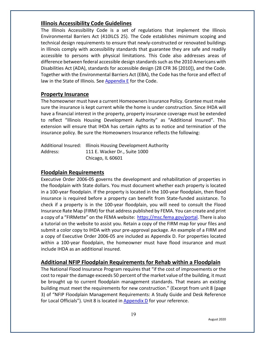## <span id="page-19-0"></span>**Illinois Accessibility Code Guidelines**

The Illinois Accessibility Code is a set of regulations that implement the Illinois Environmental Barriers Act (410ILCS 25). The Code establishes minimum scoping and technical design requirements to ensure that newly-constructed or renovated buildings in Illinois comply with accessibility standards that guarantee they are safe and readily accessible to persons with physical limitations. This Code also addresses areas of difference between federal accessible design standards such as the 2010 Americans with Disabilities Act (ADA), standards for accessible design (28 CFR 36 [2010]), and the Code. Together with the Environmental Barriers Act (EBA), the Code has the force and effect of law in the State of Illinois. See [Appendix E](https://df7qosnywqs6g.cloudfront.net/wp-content/uploads/2020/08/Appendix-E-Accessibility-Documents.zip) for the Code.

## <span id="page-19-1"></span>**Property Insurance**

The homeowner must have a current Homeowners Insurance Policy. Grantee must make sure the insurance is kept current while the home is under construction. Since IHDA will have a financial interest in the property, property insurance coverage must be extended to reflect "Illinois Housing Development Authority" as "Additional Insured". This extension will ensure that IHDA has certain rights as to notice and termination of the insurance policy. Be sure the Homeowners Insurance reflects the following:

|          | Additional Insured: Illinois Housing Development Authority |
|----------|------------------------------------------------------------|
| Address: | 111 E. Wacker Dr., Suite 1000                              |
|          | Chicago, IL 60601                                          |

## <span id="page-19-2"></span>**Floodplain Requirements**

Executive Order 2006-05 governs the development and rehabilitation of properties in the floodplain with State dollars. You must document whether each property is located in a 100-year floodplain. If the property is located in the 100-year floodplain, then flood insurance is required before a property can benefit from State-funded assistance. To check if a property is in the 100-year floodplain, you will need to consult the Flood Insurance Rate Map (FIRM) for that address published by FEMA. You can create and print a copy of a "FIRMette" on the FEMA website: [https://msc.fema.gov/portal.](https://msc.fema.gov/portal) There is also a tutorial on the website to assist you. Retain a copy of the FIRM map for your files and submit a color copy to IHDA with your pre-approval package. An example of a FIRM and a copy of Executive Order 2006-05 are included as Appendix D. For properties located within a 100-year floodplain, the homeowner must have flood insurance and must include IHDA as an additional insured.

## <span id="page-19-3"></span>**Additional NFIP Floodplain Requirements for Rehab within a Floodplain**

The National Flood Insurance Program requires that "if the cost of improvements or the cost to repair the damage exceeds 50 percent of the market value of the building, it must be brought up to current floodplain management standards. That means an existing building must meet the requirements for new construction." (Excerpt from unit 8 (page 3) of "NFIP Floodplain Management Requirements: A Study Guide and Desk Reference for Local Officials"). Unit 8 is located i[n Appendix D](https://df7qosnywqs6g.cloudfront.net/wp-content/uploads/2020/08/Appendix-D-Environmental-and-SHPO.zip) for your reference.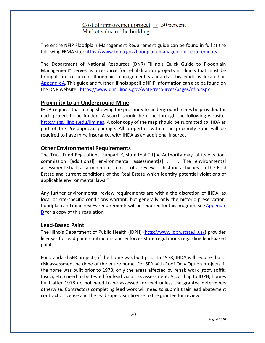Cost of improvement project  $> 50$  percent Market value of the building

The entire NFIP Floodplain Management Requirement guide can be found in full at the following FEMA site: <https://www.fema.gov/floodplain-management-requirements>

The Department of National Resources (DNR) "Illinois Quick Guide to Floodplain Management" serves as a resource for rehabilitation projects in Illinois that must be brought up to current floodplain management standards. This guide is located in [Appendix A.](https://df7qosnywqs6g.cloudfront.net/wp-content/uploads/2020/08/Appendix-A-Guidance-and-Samples.zip) This guide and further Illinois specific NFIP information can also be found on the DNR website: <https://www.dnr.illinois.gov/waterresources/pages/nfip.aspx>

#### <span id="page-20-0"></span>**Proximity to an Underground Mine**

IHDA requires that a map showing the proximity to underground mines be provided for each project to be funded. A search should be done through the following website: [http://isgs.illinois.edu/ilmines.](http://isgs.illinois.edu/ilmines) A color copy of the map should be submitted to IHDA as part of the Pre-approval package. All properties within the proximity zone will be required to have mine insurance, with IHDA as an additional insured.

#### <span id="page-20-1"></span>**Other Environmental Requirements**

The Trust Fund Regulations, Subpart K, state that "[t]he Authority may, at its election, commission [additional] environmental assessment[s] . . . The environmental assessment shall, at a minimum, consist of a review of historic activities on the Real Estate and current conditions of the Real Estate which identify potential violations of applicable environmental laws."

Any further environmental review requirements are within the discretion of IHDA, as local or site-specific conditions warrant, but generally only the historic preservation, floodplain and mine review requirements will be required for this program. See [Appendix](https://df7qosnywqs6g.cloudfront.net/wp-content/uploads/2020/08/Appendix-D-Environmental-and-SHPO.zip)  [D](https://df7qosnywqs6g.cloudfront.net/wp-content/uploads/2020/08/Appendix-D-Environmental-and-SHPO.zip) for a copy of this regulation*.*

#### <span id="page-20-2"></span>**Lead-Based Paint**

The Illinois Department of Public Health (IDPH) [\(http://www.idph.state.il.us/\)](http://www.idph.state.il.us/) provides licenses for lead paint contractors and enforces state regulations regarding lead-based paint.

For standard SFR projects, if the home was built prior to 1978, IHDA will require that a risk assessment be done of the entire home. For SFR with Roof Only Option projects, if the home was built prior to 1978, only the areas affected by rehab work (roof, soffit, fascia, etc.) need to be tested for lead via a risk assessment. According to IDPH, homes built after 1978 do not need to be assessed for lead unless the grantee determines otherwise. Contractors completing lead work will need to submit their lead abatement contractor license and the lead supervisor license to the grantee for review.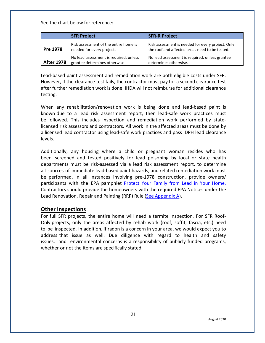See the chart below for reference:

|                   | <b>SFR Project</b>                                                      | <b>SFR-R Project</b>                                                                                |
|-------------------|-------------------------------------------------------------------------|-----------------------------------------------------------------------------------------------------|
| Pre 1978          | Risk assessment of the entire home is<br>needed for every project.      | Risk assessment is needed for every project. Only<br>the roof and affected areas need to be tested. |
| <b>After 1978</b> | No lead assessment is required, unless<br>grantee determines otherwise. | No lead assessment is required, unless grantee<br>determines otherwise.                             |

Lead-based paint assessment and remediation work are both eligible costs under SFR. However, if the clearance test fails, the contractor must pay for a second clearance test after further remediation work is done. IHDA will not reimburse for additional clearance testing.

When any rehabilitation/renovation work is being done and lead-based paint is known due to a lead risk assessment report, then lead-safe work practices must be followed. This includes inspection and remediation work performed by statelicensed risk assessors and contractors. All work in the affected areas must be done by a licensed lead contractor using lead-safe work practices and pass IDPH lead clearance levels.

Additionally, any housing where a child or pregnant woman resides who has been screened and tested positively for lead poisoning by local or state health departments must be risk-assessed via a lead risk assessment report, to determine all sources of immediate lead-based paint hazards, and related remediation work must be performed. In all instances involving pre-1978 construction, provide owners/ participants with the EPA pamphlet [Protect](https://www.epa.gov/sites/production/files/2020-04/documents/lead-in-your-home-portrait-color-2020-508.pdf) Your Family from Lead in Your Home. Contractors should provide the homeowners with the required EPA Notices under the Lead Renovation, Repair and Painting (RRP) Rule [\(See Appendix A\).](https://df7qosnywqs6g.cloudfront.net/wp-content/uploads/2020/08/Appendix-A-Guidance-and-Samples.zip)

#### <span id="page-21-0"></span>**Other Inspections**

For full SFR projects, the entire home will need a termite inspection. For SFR Roof-Only projects, only the areas affected by rehab work (roof, soffit, fascia, etc.) need to be inspected. In addition, if radon is a concern in your area, we would expect you to address that issue as well. Due diligence with regard to health and safety issues, and environmental concerns is a responsibility of publicly funded programs, whether or not the items are specifically stated.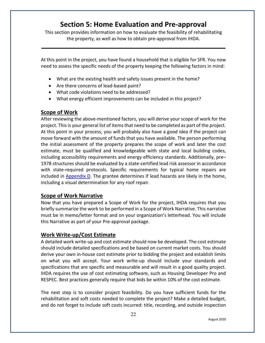# **Section 5: Home Evaluation and Pre-approval**

<span id="page-22-0"></span>This section provides information on how to evaluate the feasibility of rehabilitating the property, as well as how to obtain pre-approval from IHDA.

**\_\_\_\_\_\_\_\_\_\_\_\_\_\_\_\_\_\_\_\_\_\_\_\_\_\_\_\_\_\_\_\_\_\_\_\_\_\_\_\_\_\_\_\_\_\_\_\_\_\_\_\_\_\_\_\_\_\_\_\_\_**

At this point in the project, you have found a household that is eligible for SFR. You now need to assess the specific needs of the property keeping the following factors in mind:

- What are the existing health and safety issues present in the home?
- Are there concerns of lead-based paint?
- What code violations need to be addressed?
- What energy efficient improvements can be included in this project?

## <span id="page-22-1"></span>**Scope of Work**

After reviewing the above-mentioned factors, you will derive your scope of work for the project. This is your general list of items that need to be completed as part of the project. At this point in your process, you will probably also have a good idea if the project can move forward with the amount of funds that you have available. The person performing the initial assessment of the property prepares the scope of work and later the cost estimate, must be qualified and knowledgeable with state and local building codes, including accessibility requirements and energy efficiency standards. Additionally, pre– 1978 structures should be evaluated by a state-certified lead risk assessor in accordance with state-required protocols. Specific requirements for typical home repairs are included in [Appendix D.](https://df7qosnywqs6g.cloudfront.net/wp-content/uploads/2020/08/Appendix-D-Environmental-and-SHPO.zip) The grantee determines if lead hazards are likely in the home, including a visual determination for any roof repair.

## <span id="page-22-2"></span>**Scope of Work Narrative**

Now that you have prepared a Scope of Work for the project, IHDA requires that you briefly summarize the work to be performed in a Scope of Work Narrative. This narrative must be in memo/letter format and on your organization's letterhead. You will include this Narrative as part of your Pre-approval package.

## <span id="page-22-3"></span>**Work Write-up/Cost Estimate**

A detailed work write-up and cost estimate should now be developed. The cost estimate should include detailed specifications and be based on current market costs. You should derive your own in-house cost estimate prior to bidding the project and establish limits on what you will accept. Your work write-up should include your standards and specifications that are specific and measurable and will result in a good quality project. IHDA requires the use of cost estimating software, such as Housing Developer Pro and RESPEC. Best practices generally require that bids be within 10% of the cost estimate.

The next step is to consider project feasibility. Do you have sufficient funds for the rehabilitation and soft costs needed to complete the project? Make a detailed budget, and do not forget to include soft costs incurred: title, recording, and outside inspection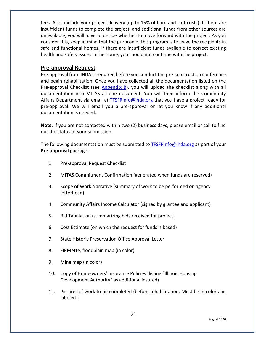fees. Also, include your project delivery (up to 15% of hard and soft costs). If there are insufficient funds to complete the project, and additional funds from other sources are unavailable, you will have to decide whether to move forward with the project. As you consider this, keep in mind that the purpose of this program is to leave the recipients in safe and functional homes. If there are insufficient funds available to correct existing health and safety issues in the home, you should not continue with the project.

## <span id="page-23-0"></span>**Pre-approval Request**

Pre-approval from IHDA is required before you conduct the pre-construction conference and begin rehabilitation. Once you have collected all the documentation listed on the Pre-approval Checklist (see [Appendix B\)](https://df7qosnywqs6g.cloudfront.net/wp-content/uploads/2021/06/Appendix-B-Checklists-1.zip), you will upload the checklist along with all documentation into MITAS as one document. You will then inform the Community Affairs Department via email at **TFSFRinfo@ihda.org** that you have a project ready for pre-approval. We will email you a pre-approval or let you know if any additional documentation is needed.

**Note**: If you are not contacted within two (2) business days, please email or call to find out the status of your submission.

The following documentation must be submitted to **TFSFRinfo@ihda.org** as part of your **Pre-approval** package:

- 1. Pre-approval Request Checklist
- 2. MITAS Commitment Confirmation (generated when funds are reserved)
- 3. Scope of Work Narrative (summary of work to be performed on agency letterhead)
- 4. Community Affairs Income Calculator (signed by grantee and applicant)
- 5. Bid Tabulation (summarizing bids received for project)
- 6. Cost Estimate (on which the request for funds is based)
- 7. State Historic Preservation Office Approval Letter
- 8. FIRMette, floodplain map (in color)
- 9. Mine map (in color)
- 10. Copy of Homeowners' Insurance Policies (listing "Illinois Housing Development Authority" as additional insured)
- 11. Pictures of work to be completed (before rehabilitation. Must be in color and labeled.)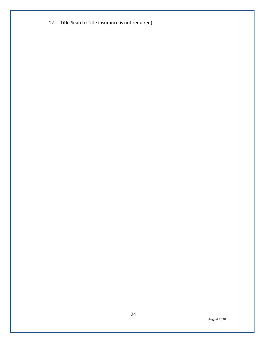12. Title Search (Title insurance is not required)

August 2020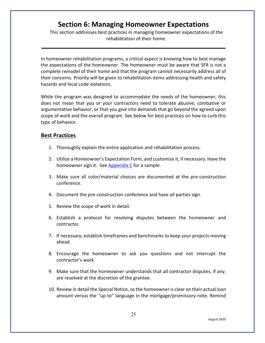# **Section 6: Managing Homeowner Expectations**

**\_\_\_\_\_\_\_\_\_\_\_\_\_\_\_\_\_\_\_\_\_\_\_\_\_\_\_\_\_\_\_\_\_\_\_\_\_\_\_\_\_\_\_\_\_\_\_\_\_\_\_\_\_\_\_\_\_\_\_\_\_**

<span id="page-25-0"></span>This section addresses best practices in managing homeowner expectations of the rehabilitation of their home.

In homeowner rehabilitation programs, a critical aspect is knowing how to best manage the expectations of the homeowner. The homeowner must be aware that SFR is not a complete remodel of their home and that the program cannot necessarily address all of their concerns. Priority will be given to rehabilitation items addressing health and safety hazards and local code violations.

While the program was designed to accommodate the needs of the homeowner, this does not mean that you or your contractors need to tolerate abusive, combative or argumentative behavior, or that you give into demands that go beyond the agreed upon scope of work and the overall program. See below for best practices on how to curb this type of behavior.

#### <span id="page-25-1"></span>**Best Practices**

- 1. Thoroughly explain the entire application and rehabilitation process.
- 2. Utilize a Homeowner's Expectation Form, and customize it, if necessary. Have the homeowner sign it. See [Appendix C](https://df7qosnywqs6g.cloudfront.net/wp-content/uploads/2021/08/Appendix-C-Application-Info-Forms.zip) for a sample.
- 3. Make sure all color/material choices are documented at the pre-construction conference.
- 4. Document the pre-construction conference and have all parties sign.
- 5. Review the scope of work in detail.
- 6. Establish a protocol for resolving disputes between the homeowner and contractor.
- 7. If necessary, establish timeframes and benchmarks to keep your projects moving ahead.
- 8. Encourage the homeowner to ask you questions and not interrupt the contractor's work.
- 9. Make sure that the homeowner understands that all contractor disputes, if any, are resolved at the discretion of the grantee.
- 10. Review in detail the Special Notice, so the homeowner is clear on their actual loan amount versus the "up to" language in the mortgage/promissory note. Remind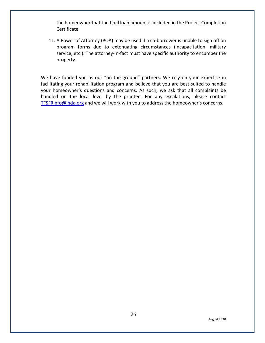the homeowner that the final loan amount is included in the Project Completion Certificate.

11. A Power of Attorney (POA) may be used if a co-borrower is unable to sign off on program forms due to extenuating circumstances (incapacitation, military service, etc.). The attorney-in-fact must have specific authority to encumber the property.

We have funded you as our "on the ground" partners. We rely on your expertise in facilitating your rehabilitation program and believe that you are best suited to handle your homeowner's questions and concerns. As such, we ask that all complaints be handled on the local level by the grantee. For any escalations, please contact [TFSFRinfo@ihda.org](mailto:TFSFRinfo@ihda.org) and we will work with you to address the homeowner's concerns.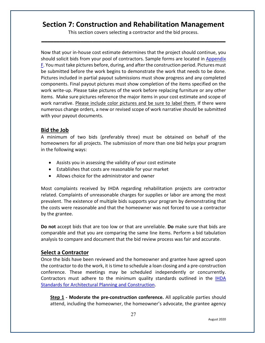## <span id="page-27-0"></span>**Section 7: Construction and Rehabilitation Management**

This section covers selecting a contractor and the bid process. **\_\_\_\_\_\_\_\_\_\_\_\_\_\_\_\_\_\_\_\_\_\_\_\_\_\_\_\_\_\_\_\_\_\_\_\_\_\_\_\_\_\_\_\_\_\_\_\_\_\_\_\_\_\_\_\_\_\_\_\_\_**

Now that your in-house cost estimate determines that the project should continue, you should solicit bids from your pool of contractors. Sample forms are located in [Appendix](https://df7qosnywqs6g.cloudfront.net/wp-content/uploads/2022/02/Appendix-F-Contractor-Forms.-SFR-Round-2.zip)  [F.](https://df7qosnywqs6g.cloudfront.net/wp-content/uploads/2020/08/Appendix-F-Contractor-Forms.zip) You must take pictures before, during, and after the construction period. Pictures must be submitted before the work begins to demonstrate the work that needs to be done. Pictures included in partial payout submissions must show progress and any completed components. Final payout pictures must show completion of the items specified on the work write-up. Please take pictures of the work before replacing furniture or any other items. Make sure pictures reference the major items in your cost estimate and scope of work narrative. Please include color pictures and be sure to label them. If there were numerous change orders, a new or revised scope of work narrative should be submitted with your payout documents.

## <span id="page-27-1"></span>**Bid the Job**

A minimum of two bids (preferably three) must be obtained on behalf of the homeowners for all projects. The submission of more than one bid helps your program in the following ways:

- Assists you in assessing the validity of your cost estimate
- Establishes that costs are reasonable for your market
- Allows choice for the administrator and owner

Most complaints received by IHDA regarding rehabilitation projects are contractor related. Complaints of unreasonable charges for supplies or labor are among the most prevalent. The existence of multiple bids supports your program by demonstrating that the costs were reasonable and that the homeowner was not forced to use a contractor by the grantee.

**Do not** accept bids that are too low or that are unreliable. **Do** make sure that bids are comparable and that you are comparing the same line items. Perform a bid tabulation analysis to compare and document that the bid review process was fair and accurate.

## <span id="page-27-2"></span>**Select a Contractor**

Once the bids have been reviewed and the homeowner and grantee have agreed upon the contractor to do the work, it is time to schedule a loan closing and a pre-construction conference. These meetings may be scheduled independently or concurrently. Contractors must adhere to the minimum quality standards outlined in the [IHDA](https://www.ihda.org/wp-content/uploads/2015/07/IHDA-Standards-for-Architectural-Planning-and-Construction-2019-FINAL.pdf)  [Standards for Architectural Planning and Construction.](https://www.ihda.org/wp-content/uploads/2015/07/IHDA-Standards-for-Architectural-Planning-and-Construction-2019-FINAL.pdf)

**Step 1** - Moderate the pre-construction conference. All applicable parties should attend, including the homeowner, the homeowner's advocate, the grantee agency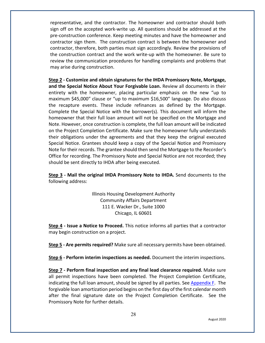representative, and the contractor. The homeowner and contractor should both sign off on the accepted work-write up. All questions should be addressed at the pre-construction conference. Keep meeting minutes and have the homeowner and contractor sign them. The construction contract is between the homeowner and contractor, therefore, both parties must sign accordingly. Review the provisions of the construction contract and the work write-up with the homeowner. Be sure to review the communication procedures for handling complaints and problems that may arise during construction.

**Step 2 - Customize and obtain signatures for the IHDA Promissory Note, Mortgage, and the Special Notice About Your Forgivable Loan.** Review all documents in their entirety with the homeowner, placing particular emphasis on the new "up to maximum \$45,000" clause or "up to maximum \$16,500" language. Do also discuss the recapture events. These include refinances as defined by the Mortgage. Complete the Special Notice with the borrower(s). This document will inform the homeowner that their full loan amount will not be specified on the Mortgage and Note. However, once construction is complete, the full loan amount will be indicated on the Project Completion Certificate. Make sure the homeowner fully understands their obligations under the agreements and that they keep the original executed Special Notice. Grantees should keep a copy of the Special Notice and Promissory Note for their records. The grantee should then send the Mortgage to the Recorder's Office for recording. The Promissory Note and Special Notice are not recorded; they should be sent directly to IHDA after being executed.

**Step 3 - Mail the original IHDA Promissory Note to IHDA.** Send documents to the following address:

> Illinois Housing Development Authority Community Affairs Department 111 E. Wacker Dr., Suite 1000 Chicago, IL 60601

**Step 4 - Issue a Notice to Proceed.** This notice informs all parties that a contractor may begin construction on a project.

**Step 5 - Are permits required?** Make sure all necessary permits have been obtained.

**Step 6 - Perform interim inspections as needed.** Document the interim inspections.

**Step 7 - Perform final inspection and any final lead clearance required.** Make sure all permit inspections have been completed. The Project Completion Certificate, indicating the full loan amount, should be signed by all parties. See Appendix  $F$ . The forgivable loan amortization period begins on the first day of the first calendar month after the final signature date on the Project Completion Certificate. See the Promissory Note for further details.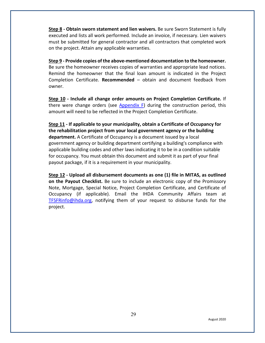**Step 8 - Obtain sworn statement and lien waivers.** Be sure Sworn Statement is fully executed and lists all work performed. Include an invoice, if necessary. Lien waivers must be submitted for general contractor and all contractors that completed work on the project. Attain any applicable warranties.

**Step 9 - Provide copies of the above-mentioned documentation to the homeowner.** Be sure the homeowner receives copies of warranties and appropriate lead notices. Remind the homeowner that the final loan amount is indicated in the Project Completion Certificate. **Recommended** – obtain and document feedback from owner.

**Step 10 - Include all change order amounts on Project Completion Certificate.** If there were change orders (see  $Appendix F$ ) during the construction period, this amount will need to be reflected in the Project Completion Certificate.

**Step 11 - If applicable to your municipality, obtain a Certificate of Occupancy for the rehabilitation project from your local government agency or the building department.** A Certificate of Occupancy is a document issued by a local government agency or building department certifying a building's compliance with applicable building codes and other laws indicating it to be in a condition suitable for occupancy. You must obtain this document and submit it as part of your final payout package, if it is a requirement in your municipality.

**Step 12 - Upload all disbursement documents as one (1) file in MITAS, as outlined on the Payout Checklist.** Be sure to include an electronic copy of the Promissory Note, Mortgage, Special Notice, Project Completion Certificate, and Certificate of Occupancy (if applicable). Email the IHDA Community Affairs team at [TFSFRinfo@ihda.org,](mailto:TFSFRinfo@ihda.org) notifying them of your request to disburse funds for the project.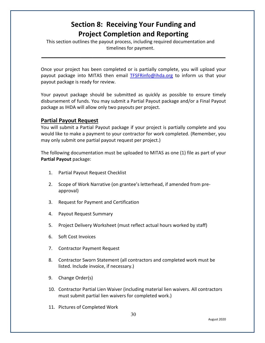# **Section 8: Receiving Your Funding and Project Completion and Reporting**

<span id="page-30-0"></span>This section outlines the payout process, including required documentation and timelines for payment.

Once your project has been completed or is partially complete, you will upload your payout package into MITAS then email [TFSFRinfo@ihda.org](mailto:TFSFRinfo@ihda.org) to inform us that your payout package is ready for review.

**\_\_\_\_\_\_\_\_\_\_\_\_\_\_\_\_\_\_\_\_\_\_\_\_\_\_\_\_\_\_\_\_\_\_\_\_\_\_\_\_\_\_\_\_\_\_\_\_\_\_\_\_\_\_\_\_\_\_\_\_\_**

Your payout package should be submitted as quickly as possible to ensure timely disbursement of funds. You may submit a Partial Payout package and/or a Final Payout package as IHDA will allow only two payouts per project.

#### <span id="page-30-1"></span>**Partial Payout Request**

You will submit a Partial Payout package if your project is partially complete and you would like to make a payment to your contractor for work completed. (Remember, you may only submit one partial payout request per project.)

The following documentation must be uploaded to MITAS as one (1) file as part of your **Partial Payout** package:

- 1. Partial Payout Request Checklist
- 2. Scope of Work Narrative (on grantee's letterhead, if amended from preapproval)
- 3. Request for Payment and Certification
- 4. Payout Request Summary
- 5. Project Delivery Worksheet (must reflect actual hours worked by staff)
- 6. Soft Cost Invoices
- 7. Contractor Payment Request
- 8. Contractor Sworn Statement (all contractors and completed work must be listed. Include invoice, if necessary.)
- 9. Change Order(s)
- 10. Contractor Partial Lien Waiver (including material lien waivers. All contractors must submit partial lien waivers for completed work.)
- 11. Pictures of Completed Work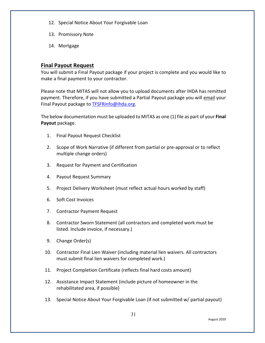- 12. Special Notice About Your Forgivable Loan
- 13. Promissory Note
- 14. Mortgage

## <span id="page-31-0"></span>**Final Payout Request**

You will submit a Final Payout package if your project is complete and you would like to make a final payment to your contractor.

Please note that MITAS will not allow you to upload documents after IHDA has remitted payment. Therefore, if you have submitted a Partial Payout package you will email your Final Payout package to [TFSFRinfo@ihda.org.](mailto:TFSFRinfo@ihda.org)

The below documentation must be uploaded to MITAS as one (1) file as part of your **Final Payout** package.

- 1. Final Payout Request Checklist
- 2. Scope of Work Narrative (if different from partial or pre-approval or to reflect multiple change orders)
- 3. Request for Payment and Certification
- 4. Payout Request Summary
- 5. Project Delivery Worksheet (must reflect actual hours worked by staff)
- 6. Soft Cost Invoices
- 7. Contractor Payment Request
- 8. Contractor Sworn Statement (all contractors and completed work must be listed. Include invoice, if necessary.)
- 9. Change Order(s)
- 10. Contractor Final Lien Waiver (including material lien waivers. All contractors must submit final lien waivers for completed work.)
- 11. Project Completion Certificate (reflects final hard costs amount)
- 12. Assistance Impact Statement (include picture of homeowner in the rehabilitated area, if possible)
- 13. Special Notice About Your Forgivable Loan (if not submitted w/ partial payout)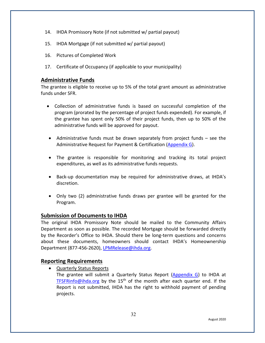- 14. IHDA Promissory Note (if not submitted w/ partial payout)
- 15. IHDA Mortgage (if not submitted w/ partial payout)
- 16. Pictures of Completed Work
- 17. Certificate of Occupancy (if applicable to your municipality)

### <span id="page-32-0"></span>**Administrative Funds**

The grantee is eligible to receive up to 5% of the total grant amount as administrative funds under SFR.

- Collection of administrative funds is based on successful completion of the program (prorated by the percentage of project funds expended). For example, if the grantee has spent only 50% of their project funds, then up to 50% of the administrative funds will be approved for payout.
- Administrative funds must be drawn separately from project funds see the Administrative Request for Payment & Certification [\(Appendix G\)](https://df7qosnywqs6g.cloudfront.net/wp-content/uploads/2021/04/Appendix-G-Summary-and-Payout-Forms-1.zip).
- The grantee is responsible for monitoring and tracking its total project expenditures, as well as its administrative funds requests.
- Back-up documentation may be required for administrative draws, at IHDA's discretion.
- Only two (2) administrative funds draws per grantee will be granted for the Program.

#### <span id="page-32-1"></span>**Submission of Documents to IHDA**

The original IHDA Promissory Note should be mailed to the Community Affairs Department as soon as possible. The recorded Mortgage should be forwarded directly by the Recorder's Office to IHDA. Should there be long-term questions and concerns about these documents, homeowners should contact IHDA's Homeownership Department (877-456-2620), [LPMRelease@ihda.org.](mailto:LPMRelease@ihda.org)

#### <span id="page-32-2"></span>**Reporting Requirements**

• Quarterly Status Reports

The grantee will submit a Quarterly Status Report [\(Appendix G\)](https://df7qosnywqs6g.cloudfront.net/wp-content/uploads/2021/04/Appendix-G-Summary-and-Payout-Forms-1.zip) to IHDA at TFSFRinfo@ihda.org by the 15<sup>th</sup> of the month after each quarter end. If the Report is not submitted, IHDA has the right to withhold payment of pending projects.